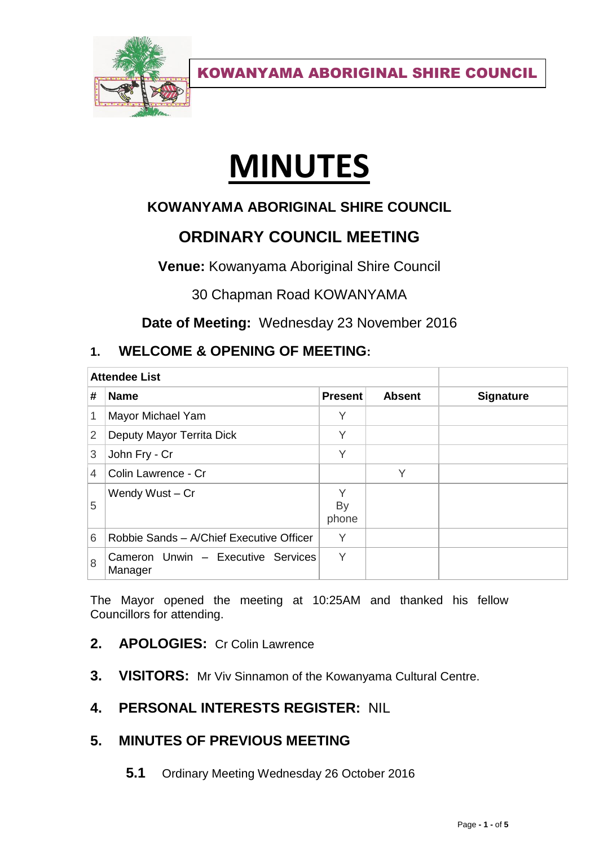

# **MINUTES**

# **KOWANYAMA ABORIGINAL SHIRE COUNCIL**

# **ORDINARY COUNCIL MEETING**

**Venue:** Kowanyama Aboriginal Shire Council

30 Chapman Road KOWANYAMA

**Date of Meeting:** Wednesday 23 November 2016

# **1. WELCOME & OPENING OF MEETING:**

| <b>Attendee List</b> |                                               |                         |               |                  |
|----------------------|-----------------------------------------------|-------------------------|---------------|------------------|
| #                    | <b>Name</b>                                   | <b>Present</b>          | <b>Absent</b> | <b>Signature</b> |
| 1                    | Mayor Michael Yam                             | Υ                       |               |                  |
| $\overline{2}$       | Deputy Mayor Territa Dick                     | Υ                       |               |                  |
| 3                    | John Fry - Cr                                 | Υ                       |               |                  |
| 4                    | Colin Lawrence - Cr                           |                         | V             |                  |
| 5                    | Wendy Wust - Cr                               | Υ<br><b>By</b><br>phone |               |                  |
| 6                    | Robbie Sands - A/Chief Executive Officer      | Υ                       |               |                  |
| 8                    | Cameron Unwin - Executive Services<br>Manager | Υ                       |               |                  |

The Mayor opened the meeting at 10:25AM and thanked his fellow Councillors for attending.

- **2. APOLOGIES:** Cr Colin Lawrence
- **3. VISITORS:** Mr Viv Sinnamon of the Kowanyama Cultural Centre.

# **4. PERSONAL INTERESTS REGISTER:** NIL

# **5. MINUTES OF PREVIOUS MEETING**

**5.1** Ordinary Meeting Wednesday 26 October 2016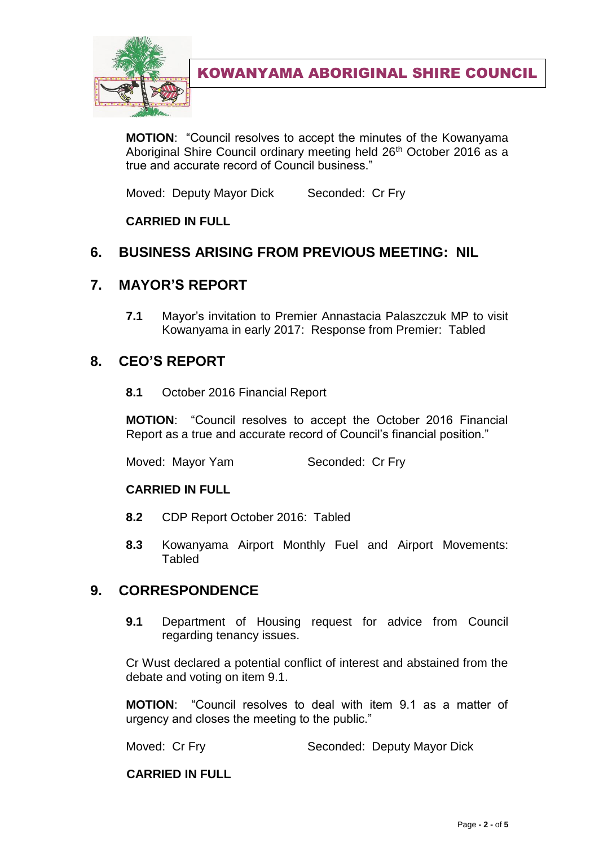

**MOTION**: "Council resolves to accept the minutes of the Kowanyama Aboriginal Shire Council ordinary meeting held 26<sup>th</sup> October 2016 as a true and accurate record of Council business."

Moved: Deputy Mayor Dick Seconded: Cr Fry

## **CARRIED IN FULL**

# **6. BUSINESS ARISING FROM PREVIOUS MEETING: NIL**

## **7. MAYOR'S REPORT**

**7.1** Mayor's invitation to Premier Annastacia Palaszczuk MP to visit Kowanyama in early 2017: Response from Premier: Tabled

## **8. CEO'S REPORT**

**8.1** October 2016 Financial Report

**MOTION**: "Council resolves to accept the October 2016 Financial Report as a true and accurate record of Council's financial position."

Moved: Mayor Yam Seconded: Cr Fry

#### **CARRIED IN FULL**

- **8.2** CDP Report October 2016: Tabled
- **8.3** Kowanyama Airport Monthly Fuel and Airport Movements: **Tabled**

# **9. CORRESPONDENCE**

**9.1** Department of Housing request for advice from Council regarding tenancy issues.

Cr Wust declared a potential conflict of interest and abstained from the debate and voting on item 9.1.

**MOTION**: "Council resolves to deal with item 9.1 as a matter of urgency and closes the meeting to the public."

Moved: Cr Fry Seconded: Deputy Mayor Dick

#### **CARRIED IN FULL**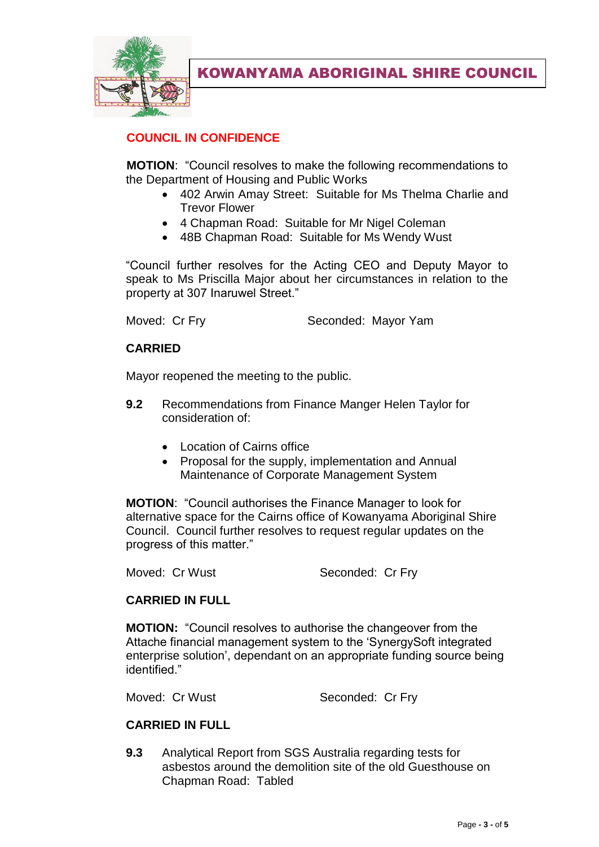

# **COUNCIL IN CONFIDENCE**

**MOTION**: "Council resolves to make the following recommendations to the Department of Housing and Public Works

- 402 Arwin Amay Street: Suitable for Ms Thelma Charlie and Trevor Flower
- 4 Chapman Road: Suitable for Mr Nigel Coleman
- 48B Chapman Road: Suitable for Ms Wendy Wust

"Council further resolves for the Acting CEO and Deputy Mayor to speak to Ms Priscilla Major about her circumstances in relation to the property at 307 Inaruwel Street."

Moved: Cr Fry Seconded: Mayor Yam

#### **CARRIED**

Mayor reopened the meeting to the public.

- **9.2** Recommendations from Finance Manger Helen Taylor for consideration of:
	- Location of Cairns office
	- Proposal for the supply, implementation and Annual Maintenance of Corporate Management System

**MOTION**: "Council authorises the Finance Manager to look for alternative space for the Cairns office of Kowanyama Aboriginal Shire Council. Council further resolves to request regular updates on the progress of this matter."

Moved: Cr Wust Seconded: Cr Fry

#### **CARRIED IN FULL**

**MOTION:** "Council resolves to authorise the changeover from the Attache financial management system to the 'SynergySoft integrated enterprise solution', dependant on an appropriate funding source being identified."

Moved: Cr Wust Seconded: Cr Fry

#### **CARRIED IN FULL**

**9.3** Analytical Report from SGS Australia regarding tests for asbestos around the demolition site of the old Guesthouse on Chapman Road: Tabled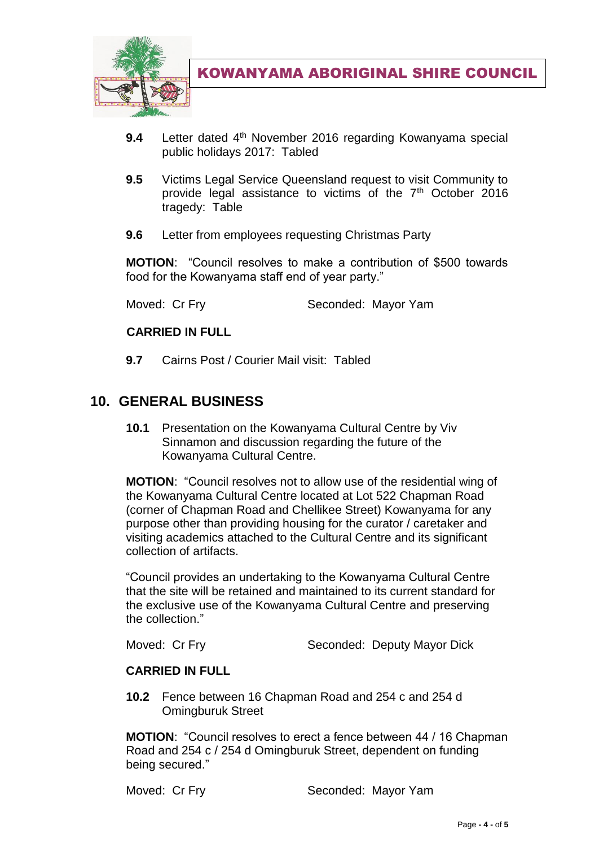

- **9.4** Letter dated 4th November 2016 regarding Kowanyama special public holidays 2017: Tabled
- **9.5** Victims Legal Service Queensland request to visit Community to provide legal assistance to victims of the  $7<sup>th</sup>$  October 2016 tragedy: Table
- **9.6** Letter from employees requesting Christmas Party

**MOTION**: "Council resolves to make a contribution of \$500 towards food for the Kowanyama staff end of year party."

Moved: Cr Fry Seconded: Mayor Yam

#### **CARRIED IN FULL**

**9.7** Cairns Post / Courier Mail visit: Tabled

# **10. GENERAL BUSINESS**

**10.1** Presentation on the Kowanyama Cultural Centre by Viv Sinnamon and discussion regarding the future of the Kowanyama Cultural Centre.

**MOTION**: "Council resolves not to allow use of the residential wing of the Kowanyama Cultural Centre located at Lot 522 Chapman Road (corner of Chapman Road and Chellikee Street) Kowanyama for any purpose other than providing housing for the curator / caretaker and visiting academics attached to the Cultural Centre and its significant collection of artifacts.

"Council provides an undertaking to the Kowanyama Cultural Centre that the site will be retained and maintained to its current standard for the exclusive use of the Kowanyama Cultural Centre and preserving the collection."

Moved: Cr Fry Seconded: Deputy Mayor Dick

#### **CARRIED IN FULL**

**10.2** Fence between 16 Chapman Road and 254 c and 254 d Omingburuk Street

**MOTION**: "Council resolves to erect a fence between 44 / 16 Chapman Road and 254 c / 254 d Omingburuk Street, dependent on funding being secured."

Moved: Cr Fry Seconded: Mayor Yam